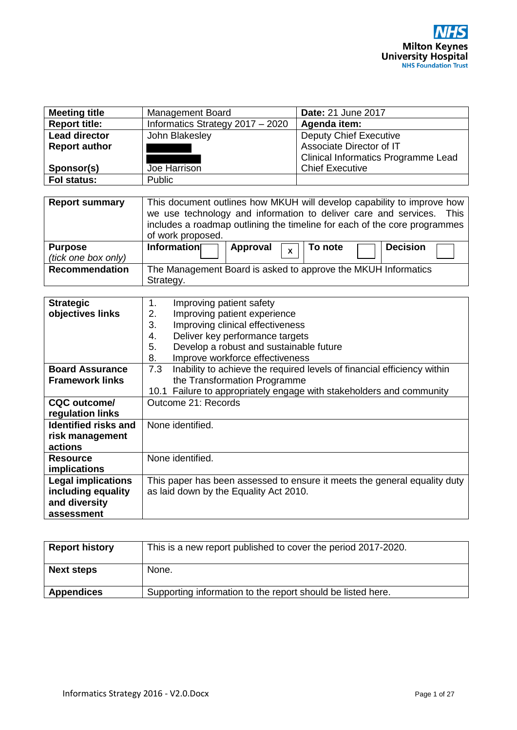| <b>Meeting title</b> | Management Board                   | <b>Date: 21 June 2017</b>                  |
|----------------------|------------------------------------|--------------------------------------------|
| <b>Report title:</b> | Informatics Strategy $2017 - 2020$ | Agenda item:                               |
| <b>Lead director</b> | John Blakesley                     | <b>Deputy Chief Executive</b>              |
| <b>Report author</b> |                                    | Associate Director of IT                   |
|                      |                                    | <b>Clinical Informatics Programme Lead</b> |
| Sponsor(s)           | Joe Harrison                       | <b>Chief Executive</b>                     |
| Fol status:          | Public                             |                                            |

| <b>Report summary</b>                 | This document outlines how MKUH will develop capability to improve how<br>we use technology and information to deliver care and services. This<br>includes a roadmap outlining the timeline for each of the core programmes<br>of work proposed. |
|---------------------------------------|--------------------------------------------------------------------------------------------------------------------------------------------------------------------------------------------------------------------------------------------------|
| <b>Purpose</b><br>(tick one box only) | Information<br><b>Decision</b><br>  To note<br>Approval $\sqrt{x}$                                                                                                                                                                               |
| <b>Recommendation</b>                 | The Management Board is asked to approve the MKUH Informatics<br>Strategy.                                                                                                                                                                       |

| <b>Strategic</b>            | 1.                                                                        | Improving patient safety                                                |
|-----------------------------|---------------------------------------------------------------------------|-------------------------------------------------------------------------|
| objectives links            | 2.                                                                        | Improving patient experience                                            |
|                             | 3.                                                                        | Improving clinical effectiveness                                        |
|                             | 4.                                                                        | Deliver key performance targets                                         |
|                             | 5.                                                                        | Develop a robust and sustainable future                                 |
|                             | 8.                                                                        | Improve workforce effectiveness                                         |
| <b>Board Assurance</b>      | 7.3                                                                       | Inability to achieve the required levels of financial efficiency within |
| <b>Framework links</b>      |                                                                           | the Transformation Programme                                            |
|                             |                                                                           | 10.1 Failure to appropriately engage with stakeholders and community    |
| CQC outcome/                | Outcome 21: Records                                                       |                                                                         |
| regulation links            |                                                                           |                                                                         |
| <b>Identified risks and</b> | None identified.                                                          |                                                                         |
| risk management             |                                                                           |                                                                         |
| actions                     |                                                                           |                                                                         |
| <b>Resource</b>             | None identified.                                                          |                                                                         |
| <i>implications</i>         |                                                                           |                                                                         |
| <b>Legal implications</b>   | This paper has been assessed to ensure it meets the general equality duty |                                                                         |
| including equality          | as laid down by the Equality Act 2010.                                    |                                                                         |
| and diversity               |                                                                           |                                                                         |
| assessment                  |                                                                           |                                                                         |

| <b>Report history</b> | This is a new report published to cover the period 2017-2020. |
|-----------------------|---------------------------------------------------------------|
| <b>Next steps</b>     | None.                                                         |
| <b>Appendices</b>     | Supporting information to the report should be listed here.   |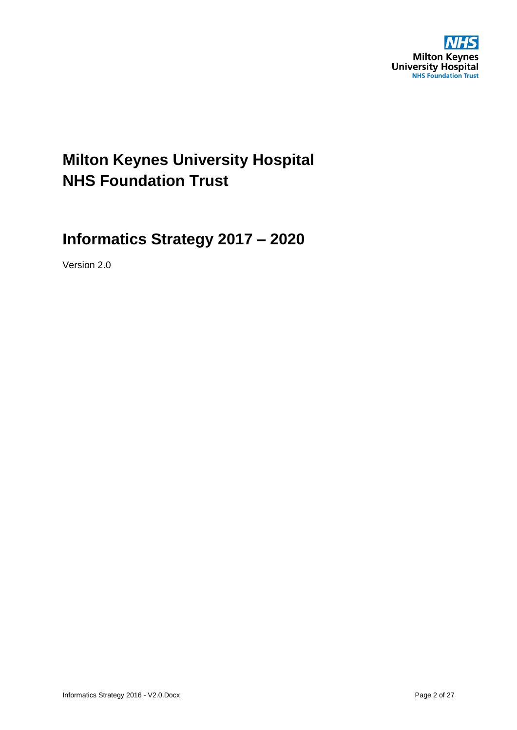

## **Milton Keynes University Hospital NHS Foundation Trust**

## **Informatics Strategy 2017 – 2020**

Version 2.0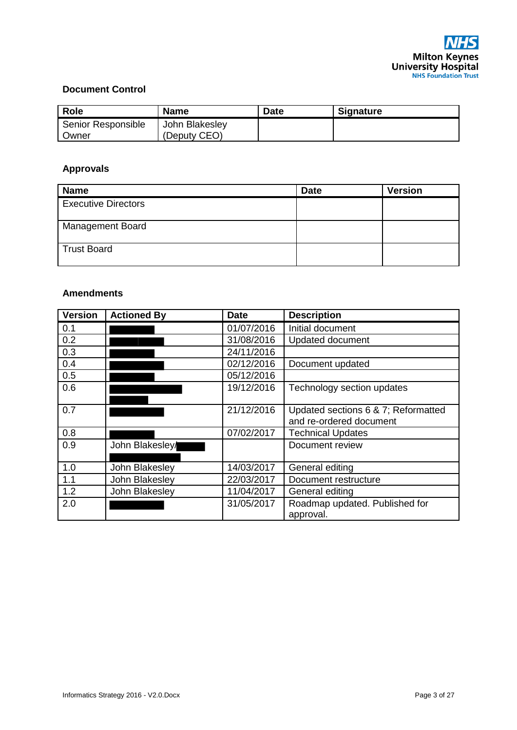

#### **Document Control**

| <b>Role</b>        | <b>Name</b>    | <b>Date</b> | <b>Signature</b> |
|--------------------|----------------|-------------|------------------|
| Senior Responsible | John Blakesley |             |                  |
| Owner              | (Deputy CEO)   |             |                  |

### **Approvals**

| <b>Name</b>                | <b>Date</b> | <b>Version</b> |
|----------------------------|-------------|----------------|
| <b>Executive Directors</b> |             |                |
| <b>Management Board</b>    |             |                |
| <b>Trust Board</b>         |             |                |

#### **Amendments**

| <b>Version</b> | <b>Actioned By</b> | <b>Date</b> | <b>Description</b>                                             |
|----------------|--------------------|-------------|----------------------------------------------------------------|
| 0.1            |                    | 01/07/2016  | Initial document                                               |
| 0.2            |                    | 31/08/2016  | Updated document                                               |
| 0.3            |                    | 24/11/2016  |                                                                |
| 0.4            |                    | 02/12/2016  | Document updated                                               |
| 0.5            |                    | 05/12/2016  |                                                                |
| 0.6            |                    | 19/12/2016  | Technology section updates                                     |
| 0.7            |                    | 21/12/2016  | Updated sections 6 & 7; Reformatted<br>and re-ordered document |
| 0.8            |                    | 07/02/2017  | <b>Technical Updates</b>                                       |
| 0.9            | John Blakesley/    |             | Document review                                                |
| 1.0            | John Blakesley     | 14/03/2017  | General editing                                                |
| 1.1            | John Blakesley     | 22/03/2017  | Document restructure                                           |
| 1.2            | John Blakesley     | 11/04/2017  | General editing                                                |
| 2.0            |                    | 31/05/2017  | Roadmap updated. Published for<br>approval.                    |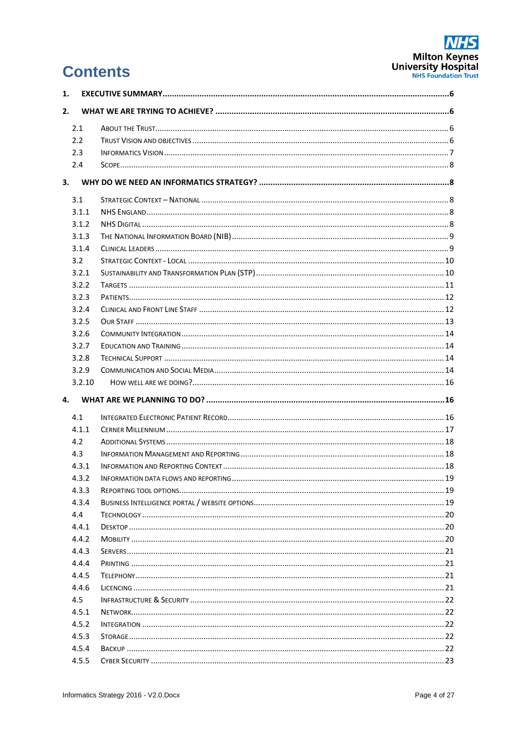# **NHS** Milton Keynes<br>University Hospital

# **Contents**

| 1. |        |  |
|----|--------|--|
| 2. |        |  |
|    | 2.1    |  |
|    | 2.2    |  |
|    | 2.3    |  |
|    | 2.4    |  |
|    |        |  |
|    | 3.1    |  |
|    | 3.1.1  |  |
|    | 3.1.2  |  |
|    | 3.1.3  |  |
|    | 3.1.4  |  |
|    | 3.2    |  |
|    | 3.2.1  |  |
|    | 3.2.2  |  |
|    | 3.2.3  |  |
|    | 3.2.4  |  |
|    | 3.2.5  |  |
|    | 3.2.6  |  |
|    | 3.2.7  |  |
|    | 3.2.8  |  |
|    | 3.2.9  |  |
|    | 3.2.10 |  |
| 4. |        |  |
|    | 4.1    |  |
|    | 4.1.1  |  |
|    | 4.2    |  |
|    | 4.3    |  |
|    | 4.3.1  |  |
|    | 4.3.2  |  |
|    | 4.3.3  |  |
|    | 4.3.4  |  |
|    | 4.4    |  |
|    | 4.4.1  |  |
|    | 4.4.2  |  |
|    | 4.4.3  |  |
|    | 4.4.4  |  |
|    | 4.4.5  |  |
|    | 4.4.6  |  |
|    | 4.5    |  |
|    | 4.5.1  |  |
|    | 4.5.2  |  |
|    |        |  |
|    | 4.5.3  |  |
|    | 4.5.4  |  |
|    | 4.5.5  |  |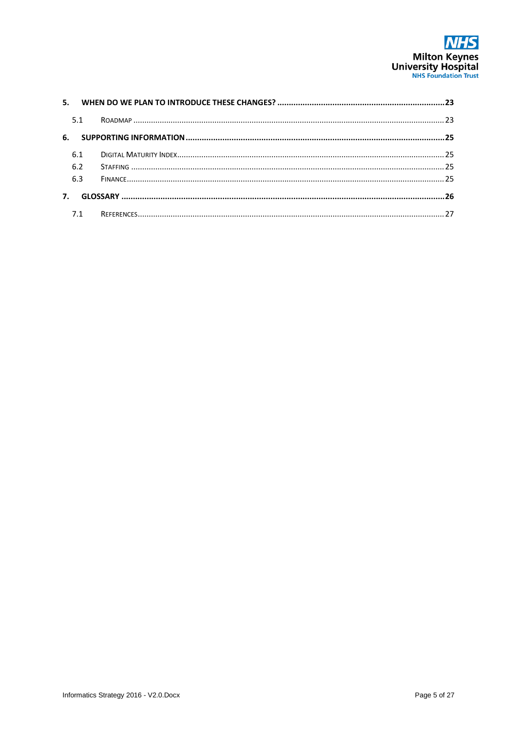

| 5.  |  |
|-----|--|
| 5.1 |  |
| 6.  |  |
| 6.1 |  |
| 6.2 |  |
| 6.3 |  |
|     |  |
|     |  |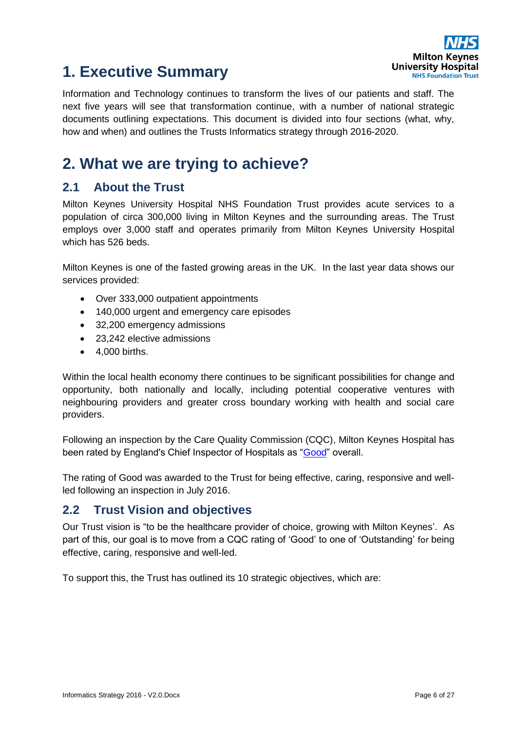

## <span id="page-5-0"></span>**1. Executive Summary**

Information and Technology continues to transform the lives of our patients and staff. The next five years will see that transformation continue, with a number of national strategic documents outlining expectations. This document is divided into four sections (what, why, how and when) and outlines the Trusts Informatics strategy through 2016-2020.

## <span id="page-5-1"></span>**2. What we are trying to achieve?**

## <span id="page-5-2"></span>**2.1 About the Trust**

Milton Keynes University Hospital NHS Foundation Trust provides acute services to a population of circa 300,000 living in Milton Keynes and the surrounding areas. The Trust employs over 3,000 staff and operates primarily from Milton Keynes University Hospital which has 526 beds.

Milton Keynes is one of the fasted growing areas in the UK. In the last year data shows our services provided:

- Over 333,000 outpatient appointments
- 140,000 urgent and emergency care episodes
- 32,200 emergency admissions
- 23,242 elective admissions
- 4,000 births.

Within the local health economy there continues to be significant possibilities for change and opportunity, both nationally and locally, including potential cooperative ventures with neighbouring providers and greater cross boundary working with health and social care providers.

Following an inspection by the Care Quality Commission (CQC), Milton Keynes Hospital has been rated by England's Chief Inspector of Hospitals as ["Good"](http://www.cqc.org.uk/location/RD816) overall.

The rating of Good was awarded to the Trust for being effective, caring, responsive and wellled following an inspection in July 2016.

## <span id="page-5-3"></span>**2.2 Trust Vision and objectives**

Our Trust vision is "to be the healthcare provider of choice, growing with Milton Keynes'. As part of this, our goal is to move from a CQC rating of 'Good' to one of 'Outstanding' for being effective, caring, responsive and well-led.

To support this, the Trust has outlined its 10 strategic objectives, which are: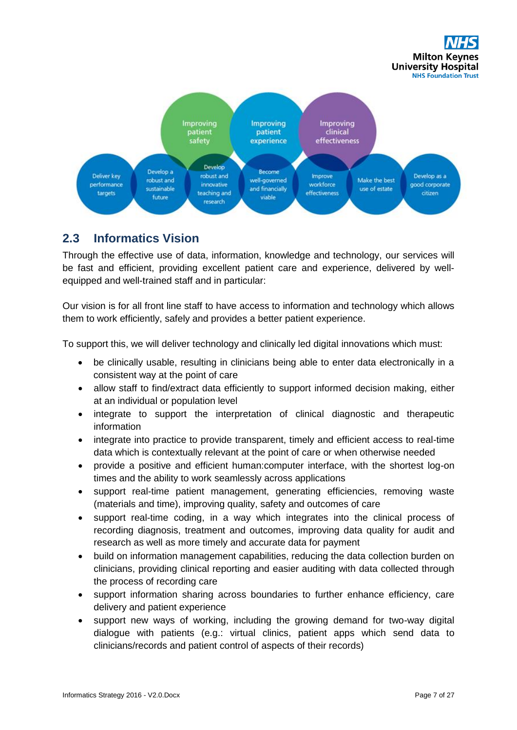



## <span id="page-6-0"></span>**2.3 Informatics Vision**

Through the effective use of data, information, knowledge and technology, our services will be fast and efficient, providing excellent patient care and experience, delivered by wellequipped and well-trained staff and in particular:

Our vision is for all front line staff to have access to information and technology which allows them to work efficiently, safely and provides a better patient experience.

To support this, we will deliver technology and clinically led digital innovations which must:

- be clinically usable, resulting in clinicians being able to enter data electronically in a consistent way at the point of care
- allow staff to find/extract data efficiently to support informed decision making, either at an individual or population level
- integrate to support the interpretation of clinical diagnostic and therapeutic information
- integrate into practice to provide transparent, timely and efficient access to real-time data which is contextually relevant at the point of care or when otherwise needed
- provide a positive and efficient human:computer interface, with the shortest log-on times and the ability to work seamlessly across applications
- support real-time patient management, generating efficiencies, removing waste (materials and time), improving quality, safety and outcomes of care
- support real-time coding, in a way which integrates into the clinical process of recording diagnosis, treatment and outcomes, improving data quality for audit and research as well as more timely and accurate data for payment
- build on information management capabilities, reducing the data collection burden on clinicians, providing clinical reporting and easier auditing with data collected through the process of recording care
- support information sharing across boundaries to further enhance efficiency, care delivery and patient experience
- support new ways of working, including the growing demand for two-way digital dialogue with patients (e.g.: virtual clinics, patient apps which send data to clinicians/records and patient control of aspects of their records)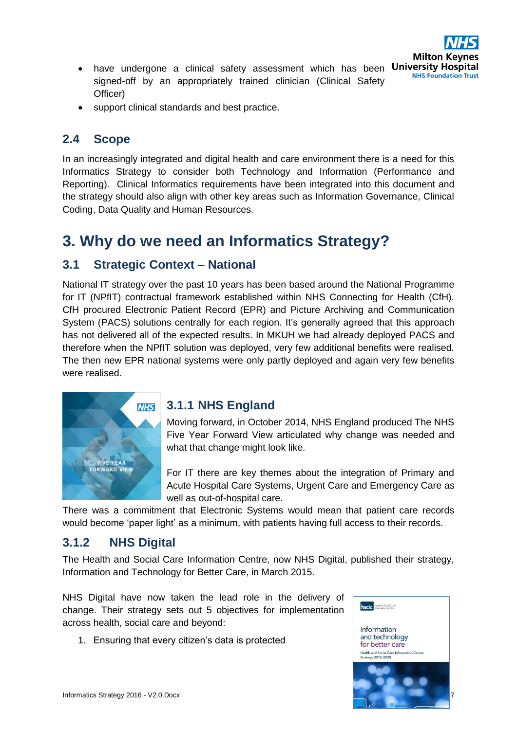

• support clinical standards and best practice.

### <span id="page-7-0"></span>**2.4 Scope**

In an increasingly integrated and digital health and care environment there is a need for this Informatics Strategy to consider both Technology and Information (Performance and Reporting). Clinical Informatics requirements have been integrated into this document and the strategy should also align with other key areas such as Information Governance, Clinical Coding, Data Quality and Human Resources.

## <span id="page-7-1"></span>**3. Why do we need an Informatics Strategy?**

### <span id="page-7-2"></span>**3.1 Strategic Context – National**

National IT strategy over the past 10 years has been based around the National Programme for IT (NPfIT) contractual framework established within NHS Connecting for Health (CfH). CfH procured Electronic Patient Record (EPR) and Picture Archiving and Communication System (PACS) solutions centrally for each region. It's generally agreed that this approach has not delivered all of the expected results. In MKUH we had already deployed PACS and therefore when the NPfIT solution was deployed, very few additional benefits were realised. The then new EPR national systems were only partly deployed and again very few benefits were realised.



### <span id="page-7-3"></span>**3.1.1 NHS England**

Moving forward, in October 2014, NHS England produced The NHS Five Year Forward View articulated why change was needed and what that change might look like.

For IT there are key themes about the integration of Primary and Acute Hospital Care Systems, Urgent Care and Emergency Care as well as out-of-hospital care.

There was a commitment that Electronic Systems would mean that patient care records would become 'paper light' as a minimum, with patients having full access to their records.

## <span id="page-7-4"></span>**3.1.2 NHS Digital**

The Health and Social Care Information Centre, now NHS Digital, published their strategy, Information and Technology for Better Care, in March 2015.

NHS Digital have now taken the lead role in the delivery of change. Their strategy sets out 5 objectives for implementation across health, social care and beyond:

1. Ensuring that every citizen's data is protected

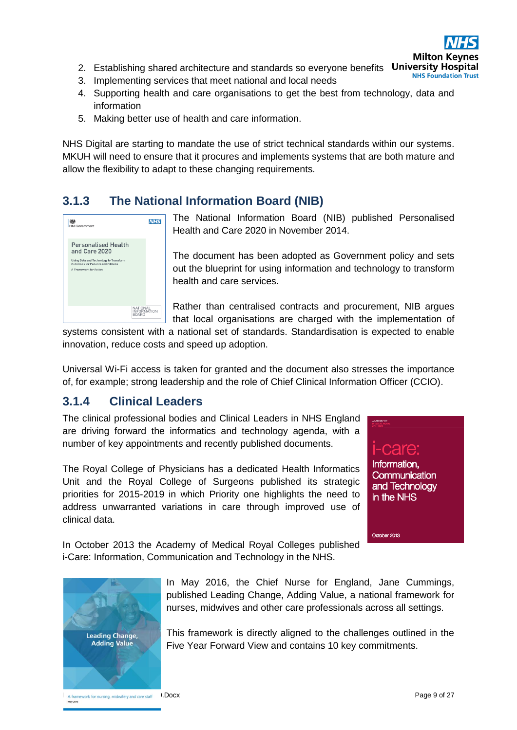

- 2. Establishing shared architecture and standards so everyone benefits University Hospital **NHS Foundation Trust**
- 3. Implementing services that meet national and local needs
- 4. Supporting health and care organisations to get the best from technology, data and information
- 5. Making better use of health and care information.

NHS Digital are starting to mandate the use of strict technical standards within our systems. MKUH will need to ensure that it procures and implements systems that are both mature and allow the flexibility to adapt to these changing requirements.

## <span id="page-8-0"></span>**3.1.3 The National Information Board (NIB)**



The National Information Board (NIB) published Personalised Health and Care 2020 in November 2014.

The document has been adopted as Government policy and sets out the blueprint for using information and technology to transform health and care services.

Rather than centralised contracts and procurement, NIB argues that local organisations are charged with the implementation of

systems consistent with a national set of standards. Standardisation is expected to enable innovation, reduce costs and speed up adoption.

Universal Wi-Fi access is taken for granted and the document also stresses the importance of, for example; strong leadership and the role of Chief Clinical Information Officer (CCIO).

## <span id="page-8-1"></span>**3.1.4 Clinical Leaders**

The clinical professional bodies and Clinical Leaders in NHS England are driving forward the informatics and technology agenda, with a number of key appointments and recently published documents.

The Royal College of Physicians has a dedicated Health Informatics Unit and the Royal College of Surgeons published its strategic priorities for 2015-2019 in which Priority one highlights the need to address unwarranted variations in care through improved use of clinical data.

I-care: Information. **Communication** and Technology in the NHS

October 2013

In October 2013 the Academy of Medical Royal Colleges published i-Care: Information, Communication and Technology in the NHS.



In May 2016, the Chief Nurse for England, Jane Cummings, published Leading Change, Adding Value, a national framework for nurses, midwives and other care professionals across all settings.

This framework is directly aligned to the challenges outlined in the Five Year Forward View and contains 10 key commitments.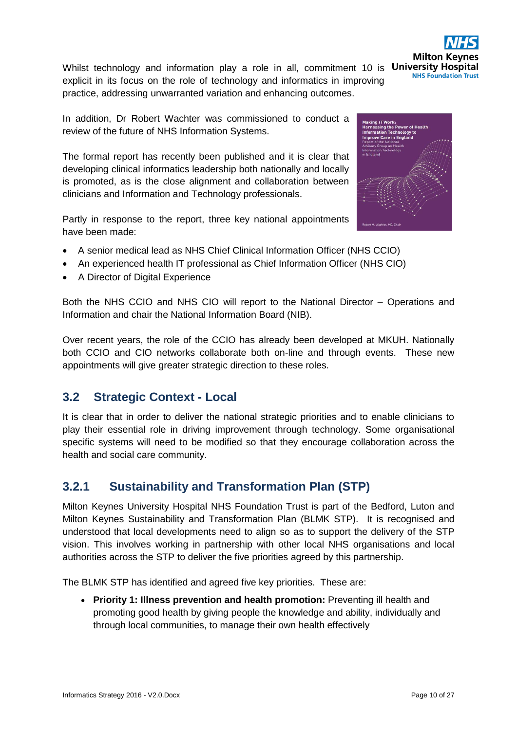

In addition, Dr Robert Wachter was commissioned to conduct a review of the future of NHS Information Systems.

The formal report has recently been published and it is clear that developing clinical informatics leadership both nationally and locally is promoted, as is the close alignment and collaboration between clinicians and Information and Technology professionals.

Partly in response to the report, three key national appointments have been made:

- A senior medical lead as NHS Chief Clinical Information Officer (NHS CCIO)
- An experienced health IT professional as Chief Information Officer (NHS CIO)
- A Director of Digital Experience

Both the NHS CCIO and NHS CIO will report to the National Director – Operations and Information and chair the National Information Board (NIB).

Over recent years, the role of the CCIO has already been developed at MKUH. Nationally both CCIO and CIO networks collaborate both on-line and through events. These new appointments will give greater strategic direction to these roles.

## <span id="page-9-0"></span>**3.2 Strategic Context - Local**

It is clear that in order to deliver the national strategic priorities and to enable clinicians to play their essential role in driving improvement through technology. Some organisational specific systems will need to be modified so that they encourage collaboration across the health and social care community.

## <span id="page-9-1"></span>**3.2.1 Sustainability and Transformation Plan (STP)**

Milton Keynes University Hospital NHS Foundation Trust is part of the Bedford, Luton and Milton Keynes Sustainability and Transformation Plan (BLMK STP). It is recognised and understood that local developments need to align so as to support the delivery of the STP vision. This involves working in partnership with other local NHS organisations and local authorities across the STP to deliver the five priorities agreed by this partnership.

The BLMK STP has identified and agreed five key priorities. These are:

• **Priority 1: Illness prevention and health promotion:** Preventing ill health and promoting good health by giving people the knowledge and ability, individually and through local communities, to manage their own health effectively





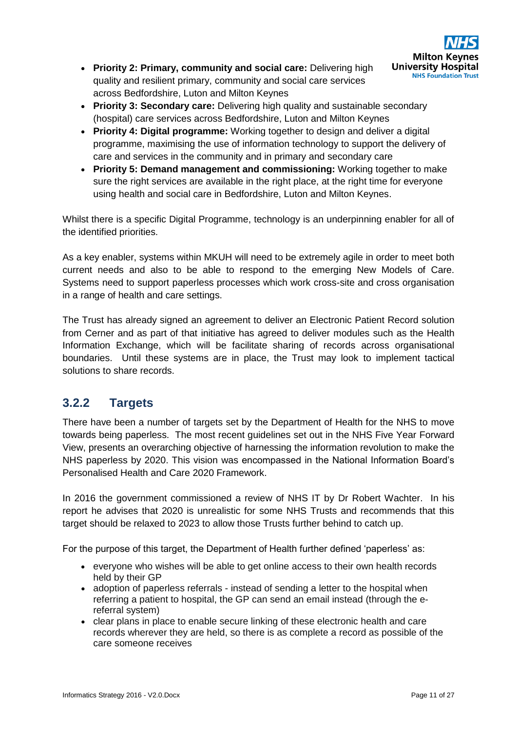

- **Priority 2: Primary, community and social care:** Delivering high quality and resilient primary, community and social care services across Bedfordshire, Luton and Milton Keynes
- **Priority 3: Secondary care:** Delivering high quality and sustainable secondary (hospital) care services across Bedfordshire, Luton and Milton Keynes
- **Priority 4: Digital programme:** Working together to design and deliver a digital programme, maximising the use of information technology to support the delivery of care and services in the community and in primary and secondary care
- **Priority 5: Demand management and commissioning:** Working together to make sure the right services are available in the right place, at the right time for everyone using health and social care in Bedfordshire, Luton and Milton Keynes.

Whilst there is a specific Digital Programme, technology is an underpinning enabler for all of the identified priorities.

As a key enabler, systems within MKUH will need to be extremely agile in order to meet both current needs and also to be able to respond to the emerging New Models of Care. Systems need to support paperless processes which work cross-site and cross organisation in a range of health and care settings.

The Trust has already signed an agreement to deliver an Electronic Patient Record solution from Cerner and as part of that initiative has agreed to deliver modules such as the Health Information Exchange, which will be facilitate sharing of records across organisational boundaries. Until these systems are in place, the Trust may look to implement tactical solutions to share records.

## <span id="page-10-0"></span>**3.2.2 Targets**

There have been a number of targets set by the Department of Health for the NHS to move towards being paperless. The most recent guidelines set out in the NHS Five Year Forward View, presents an overarching objective of harnessing the information revolution to make the NHS paperless by 2020. This vision was encompassed in the National Information Board's Personalised Health and Care 2020 Framework.

In 2016 the government commissioned a review of NHS IT by Dr Robert Wachter. In his report he advises that 2020 is unrealistic for some NHS Trusts and recommends that this target should be relaxed to 2023 to allow those Trusts further behind to catch up.

For the purpose of this target, the Department of Health further defined 'paperless' as:

- everyone who wishes will be able to get online access to their own health records held by their GP
- adoption of paperless referrals instead of sending a letter to the hospital when referring a patient to hospital, the GP can send an email instead (through the ereferral system)
- clear plans in place to enable secure linking of these electronic health and care records wherever they are held, so there is as complete a record as possible of the care someone receives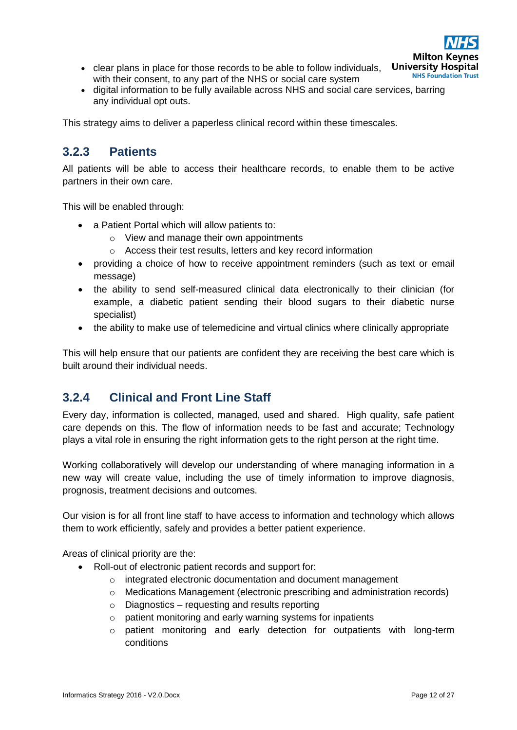

- clear plans in place for those records to be able to follow individuals, with their consent, to any part of the NHS or social care system
- digital information to be fully available across NHS and social care services, barring any individual opt outs.

This strategy aims to deliver a paperless clinical record within these timescales.

## <span id="page-11-0"></span>**3.2.3 Patients**

All patients will be able to access their healthcare records, to enable them to be active partners in their own care.

This will be enabled through:

- a Patient Portal which will allow patients to:
	- o View and manage their own appointments
	- o Access their test results, letters and key record information
- providing a choice of how to receive appointment reminders (such as text or email message)
- the ability to send self-measured clinical data electronically to their clinician (for example, a diabetic patient sending their blood sugars to their diabetic nurse specialist)
- the ability to make use of telemedicine and virtual clinics where clinically appropriate

This will help ensure that our patients are confident they are receiving the best care which is built around their individual needs.

## <span id="page-11-1"></span>**3.2.4 Clinical and Front Line Staff**

Every day, information is collected, managed, used and shared. High quality, safe patient care depends on this. The flow of information needs to be fast and accurate; Technology plays a vital role in ensuring the right information gets to the right person at the right time.

Working collaboratively will develop our understanding of where managing information in a new way will create value, including the use of timely information to improve diagnosis, prognosis, treatment decisions and outcomes.

Our vision is for all front line staff to have access to information and technology which allows them to work efficiently, safely and provides a better patient experience.

Areas of clinical priority are the:

- Roll-out of electronic patient records and support for:
	- o integrated electronic documentation and document management
	- o Medications Management (electronic prescribing and administration records)
	- $\circ$  Diagnostics requesting and results reporting
	- o patient monitoring and early warning systems for inpatients
	- o patient monitoring and early detection for outpatients with long-term conditions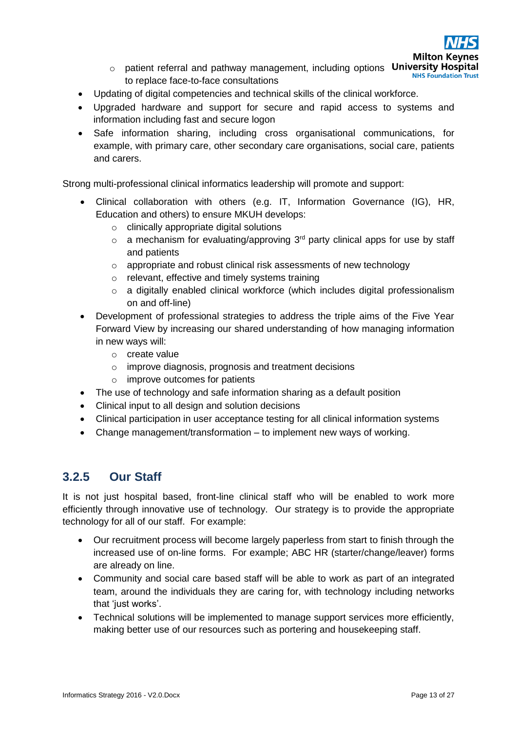

**Milton Kev** 

- o patient referral and pathway management, including options University Hospital **NHS Foundation Trust** to replace face-to-face consultations
- Updating of digital competencies and technical skills of the clinical workforce.
- Upgraded hardware and support for secure and rapid access to systems and information including fast and secure logon
- Safe information sharing, including cross organisational communications, for example, with primary care, other secondary care organisations, social care, patients and carers.

Strong multi-professional clinical informatics leadership will promote and support:

- Clinical collaboration with others (e.g. IT, Information Governance (IG), HR, Education and others) to ensure MKUH develops:
	- o clinically appropriate digital solutions
	- $\circ$  a mechanism for evaluating/approving 3<sup>rd</sup> party clinical apps for use by staff and patients
	- o appropriate and robust clinical risk assessments of new technology
	- o relevant, effective and timely systems training
	- $\circ$  a digitally enabled clinical workforce (which includes digital professionalism on and off-line)
- Development of professional strategies to address the triple aims of the Five Year Forward View by increasing our shared understanding of how managing information in new ways will:
	- o create value
	- o improve diagnosis, prognosis and treatment decisions
	- o improve outcomes for patients
- The use of technology and safe information sharing as a default position
- Clinical input to all design and solution decisions
- Clinical participation in user acceptance testing for all clinical information systems
- Change management/transformation to implement new ways of working.

### <span id="page-12-0"></span>**3.2.5 Our Staff**

It is not just hospital based, front-line clinical staff who will be enabled to work more efficiently through innovative use of technology. Our strategy is to provide the appropriate technology for all of our staff. For example:

- Our recruitment process will become largely paperless from start to finish through the increased use of on-line forms. For example; ABC HR (starter/change/leaver) forms are already on line.
- Community and social care based staff will be able to work as part of an integrated team, around the individuals they are caring for, with technology including networks that 'iust works'.
- Technical solutions will be implemented to manage support services more efficiently, making better use of our resources such as portering and housekeeping staff.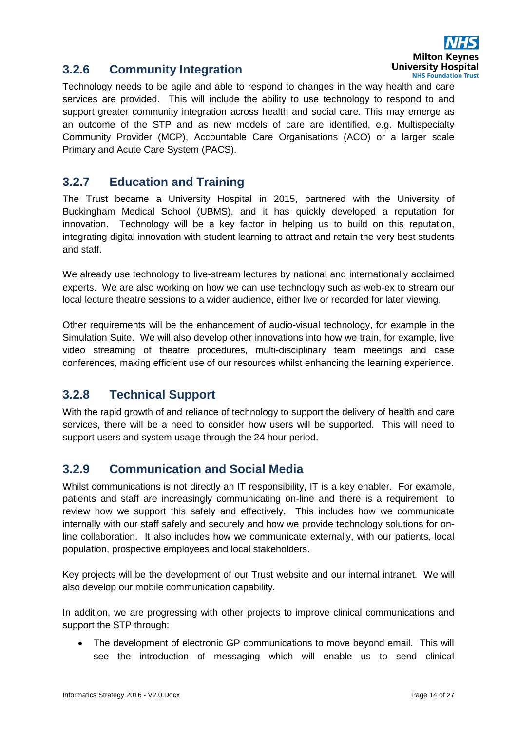

## <span id="page-13-0"></span>**3.2.6 Community Integration**

Technology needs to be agile and able to respond to changes in the way health and care services are provided. This will include the ability to use technology to respond to and support greater community integration across health and social care. This may emerge as an outcome of the STP and as new models of care are identified, e.g. Multispecialty Community Provider (MCP), Accountable Care Organisations (ACO) or a larger scale Primary and Acute Care System (PACS).

## <span id="page-13-1"></span>**3.2.7 Education and Training**

The Trust became a University Hospital in 2015, partnered with the University of Buckingham Medical School (UBMS), and it has quickly developed a reputation for innovation. Technology will be a key factor in helping us to build on this reputation, integrating digital innovation with student learning to attract and retain the very best students and staff.

We already use technology to live-stream lectures by national and internationally acclaimed experts. We are also working on how we can use technology such as web-ex to stream our local lecture theatre sessions to a wider audience, either live or recorded for later viewing.

Other requirements will be the enhancement of audio-visual technology, for example in the Simulation Suite. We will also develop other innovations into how we train, for example, live video streaming of theatre procedures, multi-disciplinary team meetings and case conferences, making efficient use of our resources whilst enhancing the learning experience.

## <span id="page-13-2"></span>**3.2.8 Technical Support**

With the rapid growth of and reliance of technology to support the delivery of health and care services, there will be a need to consider how users will be supported. This will need to support users and system usage through the 24 hour period.

## <span id="page-13-3"></span>**3.2.9 Communication and Social Media**

Whilst communications is not directly an IT responsibility, IT is a key enabler. For example, patients and staff are increasingly communicating on-line and there is a requirement to review how we support this safely and effectively. This includes how we communicate internally with our staff safely and securely and how we provide technology solutions for online collaboration. It also includes how we communicate externally, with our patients, local population, prospective employees and local stakeholders.

Key projects will be the development of our Trust website and our internal intranet. We will also develop our mobile communication capability.

In addition, we are progressing with other projects to improve clinical communications and support the STP through:

• The development of electronic GP communications to move beyond email. This will see the introduction of messaging which will enable us to send clinical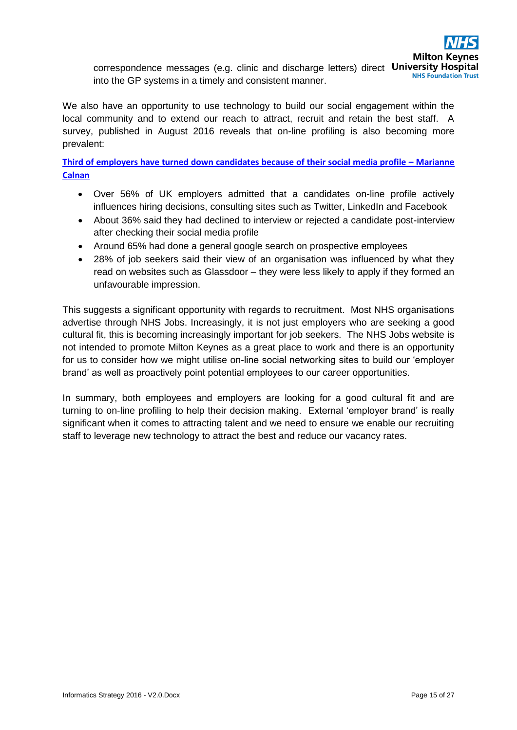correspondence messages (e.g. clinic and discharge letters) direct University Hospital **NHS Foundation Trust** into the GP systems in a timely and consistent manner.

We also have an opportunity to use technology to build our social engagement within the local community and to extend our reach to attract, recruit and retain the best staff. A survey, published in August 2016 reveals that on-line profiling is also becoming more prevalent:

**[Third of employers have turned down candidates because of their social media profile](http://www2.cipd.co.uk/pm/peoplemanagement/b/weblog/archive/2016/08/19/third-of-employers-have-turned-down-candidates-because-of-their-social-media-profile.aspx) – Marianne [Calnan](http://www2.cipd.co.uk/pm/peoplemanagement/b/weblog/archive/2016/08/19/third-of-employers-have-turned-down-candidates-because-of-their-social-media-profile.aspx)**

- Over 56% of UK employers admitted that a candidates on-line profile actively influences hiring decisions, consulting sites such as Twitter, LinkedIn and Facebook
- About 36% said they had declined to interview or rejected a candidate post-interview after checking their social media profile
- Around 65% had done a general google search on prospective employees
- 28% of job seekers said their view of an organisation was influenced by what they read on websites such as Glassdoor – they were less likely to apply if they formed an unfavourable impression.

This suggests a significant opportunity with regards to recruitment. Most NHS organisations advertise through NHS Jobs. Increasingly, it is not just employers who are seeking a good cultural fit, this is becoming increasingly important for job seekers. The NHS Jobs website is not intended to promote Milton Keynes as a great place to work and there is an opportunity for us to consider how we might utilise on-line social networking sites to build our 'employer brand' as well as proactively point potential employees to our career opportunities.

In summary, both employees and employers are looking for a good cultural fit and are turning to on-line profiling to help their decision making. External 'employer brand' is really significant when it comes to attracting talent and we need to ensure we enable our recruiting staff to leverage new technology to attract the best and reduce our vacancy rates.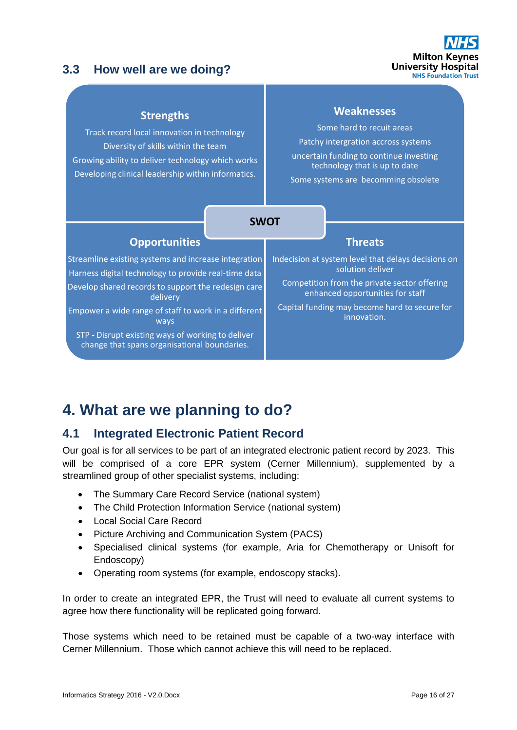## <span id="page-15-0"></span>**3.3 How well are we doing?**



#### **Strengths**

Track record local innovation in technology Diversity of skills within the team Growing ability to deliver technology which works Developing clinical leadership within informatics.

#### **Weaknesses**

Some hard to recuit areas

Patchy intergration accross systems

uncertain funding to continue investing technology that is up to date

Some systems are becomming obsolete

|                                                                                                              | <b>SWOT</b> |                                                                                  |                                                                         |
|--------------------------------------------------------------------------------------------------------------|-------------|----------------------------------------------------------------------------------|-------------------------------------------------------------------------|
|                                                                                                              |             |                                                                                  |                                                                         |
| <b>Opportunities</b>                                                                                         |             |                                                                                  | <b>Threats</b>                                                          |
| Streamline existing systems and increase integration<br>Harness digital technology to provide real-time data |             |                                                                                  | Indecision at system level that delays decisions on<br>solution deliver |
| Develop shared records to support the redesign care<br>delivery                                              |             | Competition from the private sector offering<br>enhanced opportunities for staff |                                                                         |
| Empower a wide range of staff to work in a different<br>ways                                                 |             |                                                                                  | Capital funding may become hard to secure for<br>innovation.            |
| STP - Disrupt existing ways of working to deliver<br>change that spans organisational boundaries.            |             |                                                                                  |                                                                         |

## <span id="page-15-1"></span>**4. What are we planning to do?**

## <span id="page-15-2"></span>**4.1 Integrated Electronic Patient Record**

Our goal is for all services to be part of an integrated electronic patient record by 2023. This will be comprised of a core EPR system (Cerner Millennium), supplemented by a streamlined group of other specialist systems, including:

- The Summary Care Record Service (national system)
- The Child Protection Information Service (national system)
- Local Social Care Record
- Picture Archiving and Communication System (PACS)
- Specialised clinical systems (for example, Aria for Chemotherapy or Unisoft for Endoscopy)
- Operating room systems (for example, endoscopy stacks).

In order to create an integrated EPR, the Trust will need to evaluate all current systems to agree how there functionality will be replicated going forward.

Those systems which need to be retained must be capable of a two-way interface with Cerner Millennium. Those which cannot achieve this will need to be replaced.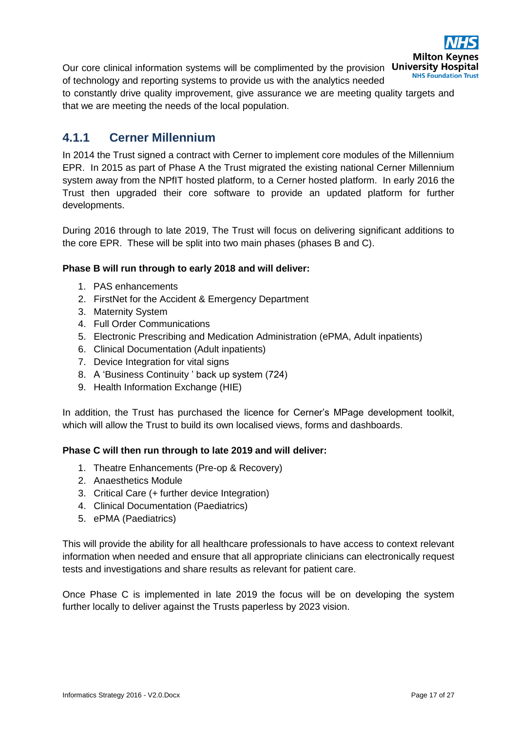

Our core clinical information systems will be complimented by the provision University Hospital of technology and reporting systems to provide us with the analytics needed

to constantly drive quality improvement, give assurance we are meeting quality targets and that we are meeting the needs of the local population.

## <span id="page-16-0"></span>**4.1.1 Cerner Millennium**

In 2014 the Trust signed a contract with Cerner to implement core modules of the Millennium EPR. In 2015 as part of Phase A the Trust migrated the existing national Cerner Millennium system away from the NPfIT hosted platform, to a Cerner hosted platform. In early 2016 the Trust then upgraded their core software to provide an updated platform for further developments.

During 2016 through to late 2019, The Trust will focus on delivering significant additions to the core EPR. These will be split into two main phases (phases B and C).

#### **Phase B will run through to early 2018 and will deliver:**

- 1. PAS enhancements
- 2. FirstNet for the Accident & Emergency Department
- 3. Maternity System
- 4. Full Order Communications
- 5. Electronic Prescribing and Medication Administration (ePMA, Adult inpatients)
- 6. Clinical Documentation (Adult inpatients)
- 7. Device Integration for vital signs
- 8. A 'Business Continuity ' back up system (724)
- 9. Health Information Exchange (HIE)

In addition, the Trust has purchased the licence for Cerner's MPage development toolkit, which will allow the Trust to build its own localised views, forms and dashboards.

#### **Phase C will then run through to late 2019 and will deliver:**

- 1. Theatre Enhancements (Pre-op & Recovery)
- 2. Anaesthetics Module
- 3. Critical Care (+ further device Integration)
- 4. Clinical Documentation (Paediatrics)
- 5. ePMA (Paediatrics)

This will provide the ability for all healthcare professionals to have access to context relevant information when needed and ensure that all appropriate clinicians can electronically request tests and investigations and share results as relevant for patient care.

Once Phase C is implemented in late 2019 the focus will be on developing the system further locally to deliver against the Trusts paperless by 2023 vision.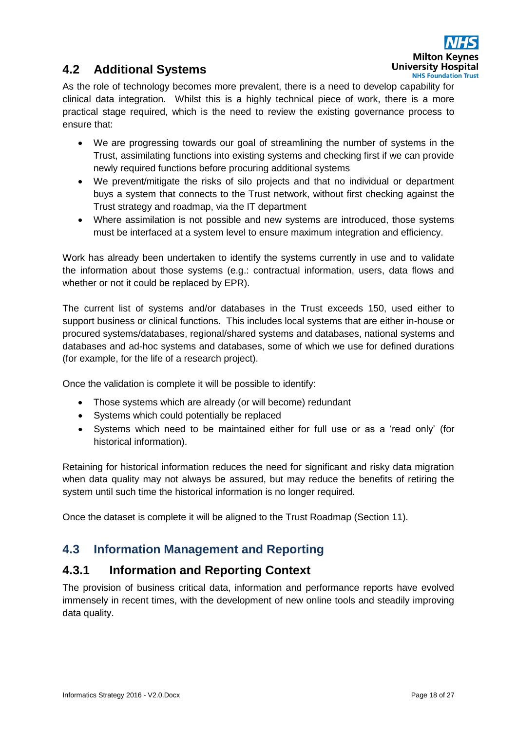

## <span id="page-17-0"></span>**4.2 Additional Systems**

As the role of technology becomes more prevalent, there is a need to develop capability for clinical data integration. Whilst this is a highly technical piece of work, there is a more practical stage required, which is the need to review the existing governance process to ensure that:

- We are progressing towards our goal of streamlining the number of systems in the Trust, assimilating functions into existing systems and checking first if we can provide newly required functions before procuring additional systems
- We prevent/mitigate the risks of silo projects and that no individual or department buys a system that connects to the Trust network, without first checking against the Trust strategy and roadmap, via the IT department
- Where assimilation is not possible and new systems are introduced, those systems must be interfaced at a system level to ensure maximum integration and efficiency.

Work has already been undertaken to identify the systems currently in use and to validate the information about those systems (e.g.: contractual information, users, data flows and whether or not it could be replaced by EPR).

The current list of systems and/or databases in the Trust exceeds 150, used either to support business or clinical functions. This includes local systems that are either in-house or procured systems/databases, regional/shared systems and databases, national systems and databases and ad-hoc systems and databases, some of which we use for defined durations (for example, for the life of a research project).

Once the validation is complete it will be possible to identify:

- Those systems which are already (or will become) redundant
- Systems which could potentially be replaced
- Systems which need to be maintained either for full use or as a 'read only' (for historical information).

Retaining for historical information reduces the need for significant and risky data migration when data quality may not always be assured, but may reduce the benefits of retiring the system until such time the historical information is no longer required.

Once the dataset is complete it will be aligned to the Trust Roadmap (Section 11).

## <span id="page-17-1"></span>**4.3 Information Management and Reporting**

### <span id="page-17-2"></span>**4.3.1 Information and Reporting Context**

The provision of business critical data, information and performance reports have evolved immensely in recent times, with the development of new online tools and steadily improving data quality.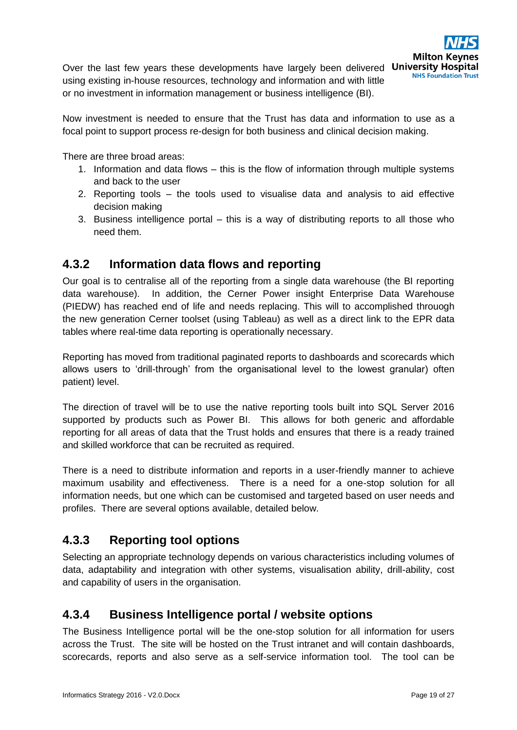Over the last few years these developments have largely been delivered University Hospital using existing in-house resources, technology and information and with little or no investment in information management or business intelligence (BI).

Now investment is needed to ensure that the Trust has data and information to use as a focal point to support process re-design for both business and clinical decision making.

There are three broad areas:

- 1. Information and data flows this is the flow of information through multiple systems and back to the user
- 2. Reporting tools the tools used to visualise data and analysis to aid effective decision making
- 3. Business intelligence portal this is a way of distributing reports to all those who need them.

## <span id="page-18-0"></span>**4.3.2 Information data flows and reporting**

Our goal is to centralise all of the reporting from a single data warehouse (the BI reporting data warehouse). In addition, the Cerner Power insight Enterprise Data Warehouse (PIEDW) has reached end of life and needs replacing. This will to accomplished throuogh the new generation Cerner toolset (using Tableau) as well as a direct link to the EPR data tables where real-time data reporting is operationally necessary.

Reporting has moved from traditional paginated reports to dashboards and scorecards which allows users to 'drill-through' from the organisational level to the lowest granular) often patient) level.

The direction of travel will be to use the native reporting tools built into SQL Server 2016 supported by products such as Power BI. This allows for both generic and affordable reporting for all areas of data that the Trust holds and ensures that there is a ready trained and skilled workforce that can be recruited as required.

There is a need to distribute information and reports in a user-friendly manner to achieve maximum usability and effectiveness. There is a need for a one-stop solution for all information needs, but one which can be customised and targeted based on user needs and profiles. There are several options available, detailed below.

## <span id="page-18-1"></span>**4.3.3 Reporting tool options**

Selecting an appropriate technology depends on various characteristics including volumes of data, adaptability and integration with other systems, visualisation ability, drill-ability, cost and capability of users in the organisation.

## <span id="page-18-2"></span>**4.3.4 Business Intelligence portal / website options**

The Business Intelligence portal will be the one-stop solution for all information for users across the Trust. The site will be hosted on the Trust intranet and will contain dashboards, scorecards, reports and also serve as a self-service information tool. The tool can be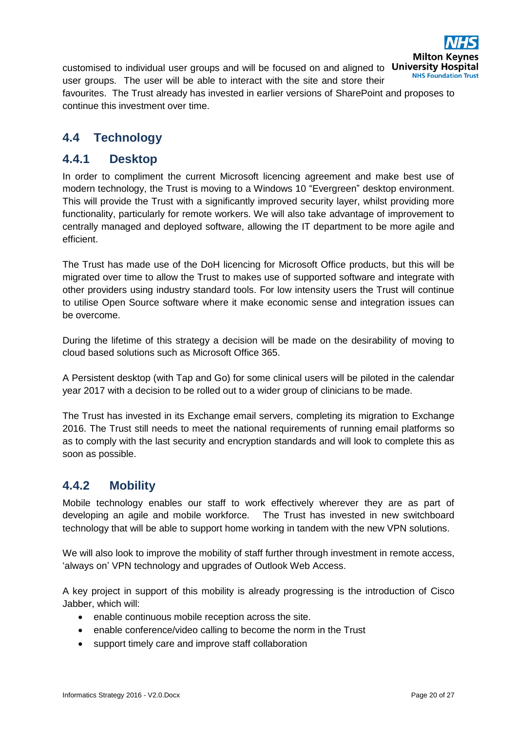

customised to individual user groups and will be focused on and aligned to University Hospital user groups. The user will be able to interact with the site and store their favourites. The Trust already has invested in earlier versions of SharePoint and proposes to continue this investment over time.

## <span id="page-19-0"></span>**4.4 Technology**

### <span id="page-19-1"></span>**4.4.1 Desktop**

In order to compliment the current Microsoft licencing agreement and make best use of modern technology, the Trust is moving to a Windows 10 "Evergreen" desktop environment. This will provide the Trust with a significantly improved security layer, whilst providing more functionality, particularly for remote workers. We will also take advantage of improvement to centrally managed and deployed software, allowing the IT department to be more agile and efficient.

The Trust has made use of the DoH licencing for Microsoft Office products, but this will be migrated over time to allow the Trust to makes use of supported software and integrate with other providers using industry standard tools. For low intensity users the Trust will continue to utilise Open Source software where it make economic sense and integration issues can be overcome.

During the lifetime of this strategy a decision will be made on the desirability of moving to cloud based solutions such as Microsoft Office 365.

A Persistent desktop (with Tap and Go) for some clinical users will be piloted in the calendar year 2017 with a decision to be rolled out to a wider group of clinicians to be made.

The Trust has invested in its Exchange email servers, completing its migration to Exchange 2016. The Trust still needs to meet the national requirements of running email platforms so as to comply with the last security and encryption standards and will look to complete this as soon as possible.

## <span id="page-19-2"></span>**4.4.2 Mobility**

Mobile technology enables our staff to work effectively wherever they are as part of developing an agile and mobile workforce. The Trust has invested in new switchboard technology that will be able to support home working in tandem with the new VPN solutions.

We will also look to improve the mobility of staff further through investment in remote access, 'always on' VPN technology and upgrades of Outlook Web Access.

A key project in support of this mobility is already progressing is the introduction of Cisco Jabber, which will:

- enable continuous mobile reception across the site.
- enable conference/video calling to become the norm in the Trust
- support timely care and improve staff collaboration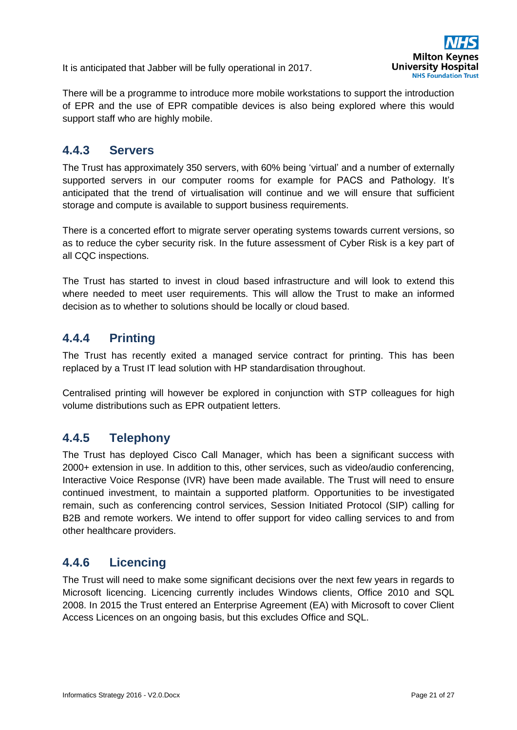It is anticipated that Jabber will be fully operational in 2017.



There will be a programme to introduce more mobile workstations to support the introduction of EPR and the use of EPR compatible devices is also being explored where this would support staff who are highly mobile.

## <span id="page-20-0"></span>**4.4.3 Servers**

The Trust has approximately 350 servers, with 60% being 'virtual' and a number of externally supported servers in our computer rooms for example for PACS and Pathology. It's anticipated that the trend of virtualisation will continue and we will ensure that sufficient storage and compute is available to support business requirements.

There is a concerted effort to migrate server operating systems towards current versions, so as to reduce the cyber security risk. In the future assessment of Cyber Risk is a key part of all CQC inspections.

The Trust has started to invest in cloud based infrastructure and will look to extend this where needed to meet user requirements. This will allow the Trust to make an informed decision as to whether to solutions should be locally or cloud based.

## <span id="page-20-1"></span>**4.4.4 Printing**

The Trust has recently exited a managed service contract for printing. This has been replaced by a Trust IT lead solution with HP standardisation throughout.

Centralised printing will however be explored in conjunction with STP colleagues for high volume distributions such as EPR outpatient letters.

## <span id="page-20-2"></span>**4.4.5 Telephony**

The Trust has deployed Cisco Call Manager, which has been a significant success with 2000+ extension in use. In addition to this, other services, such as video/audio conferencing, Interactive Voice Response (IVR) have been made available. The Trust will need to ensure continued investment, to maintain a supported platform. Opportunities to be investigated remain, such as conferencing control services, Session Initiated Protocol (SIP) calling for B2B and remote workers. We intend to offer support for video calling services to and from other healthcare providers.

## <span id="page-20-3"></span>**4.4.6 Licencing**

The Trust will need to make some significant decisions over the next few years in regards to Microsoft licencing. Licencing currently includes Windows clients, Office 2010 and SQL 2008. In 2015 the Trust entered an Enterprise Agreement (EA) with Microsoft to cover Client Access Licences on an ongoing basis, but this excludes Office and SQL.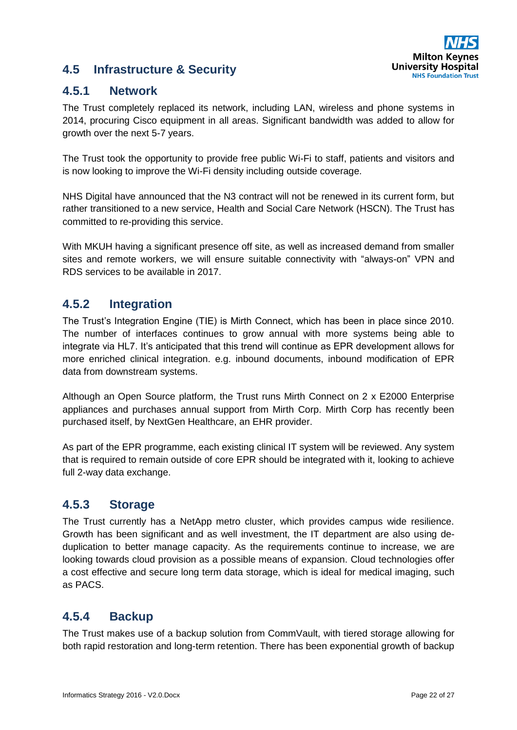

## <span id="page-21-0"></span>**4.5 Infrastructure & Security**

## <span id="page-21-1"></span>**4.5.1 Network**

The Trust completely replaced its network, including LAN, wireless and phone systems in 2014, procuring Cisco equipment in all areas. Significant bandwidth was added to allow for growth over the next 5-7 years.

The Trust took the opportunity to provide free public Wi-Fi to staff, patients and visitors and is now looking to improve the Wi-Fi density including outside coverage.

NHS Digital have announced that the N3 contract will not be renewed in its current form, but rather transitioned to a new service, Health and Social Care Network (HSCN). The Trust has committed to re-providing this service.

With MKUH having a significant presence off site, as well as increased demand from smaller sites and remote workers, we will ensure suitable connectivity with "always-on" VPN and RDS services to be available in 2017.

## <span id="page-21-2"></span>**4.5.2 Integration**

The Trust's Integration Engine (TIE) is Mirth Connect, which has been in place since 2010. The number of interfaces continues to grow annual with more systems being able to integrate via HL7. It's anticipated that this trend will continue as EPR development allows for more enriched clinical integration. e.g. inbound documents, inbound modification of EPR data from downstream systems.

Although an Open Source platform, the Trust runs Mirth Connect on 2 x E2000 Enterprise appliances and purchases annual support from Mirth Corp. Mirth Corp has recently been purchased itself, by NextGen Healthcare, an EHR provider.

As part of the EPR programme, each existing clinical IT system will be reviewed. Any system that is required to remain outside of core EPR should be integrated with it, looking to achieve full 2-way data exchange.

## <span id="page-21-3"></span>**4.5.3 Storage**

The Trust currently has a NetApp metro cluster, which provides campus wide resilience. Growth has been significant and as well investment, the IT department are also using deduplication to better manage capacity. As the requirements continue to increase, we are looking towards cloud provision as a possible means of expansion. Cloud technologies offer a cost effective and secure long term data storage, which is ideal for medical imaging, such as PACS.

## <span id="page-21-4"></span>**4.5.4 Backup**

The Trust makes use of a backup solution from CommVault, with tiered storage allowing for both rapid restoration and long-term retention. There has been exponential growth of backup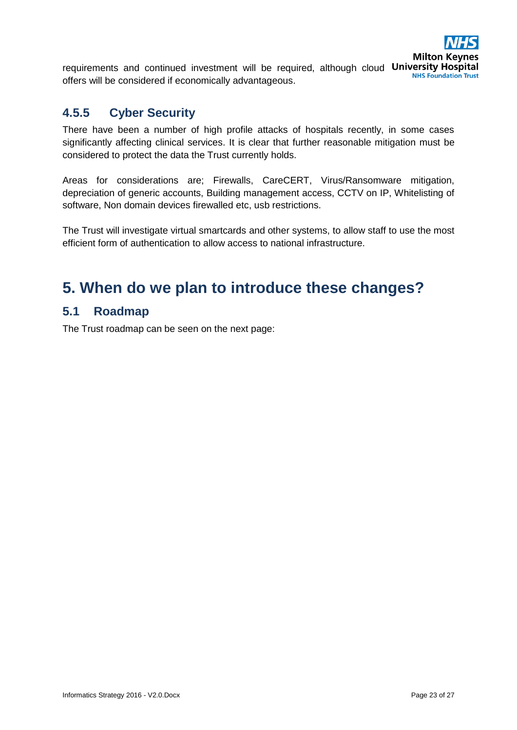

## <span id="page-22-0"></span>**4.5.5 Cyber Security**

There have been a number of high profile attacks of hospitals recently, in some cases significantly affecting clinical services. It is clear that further reasonable mitigation must be considered to protect the data the Trust currently holds.

Areas for considerations are; Firewalls, CareCERT, Virus/Ransomware mitigation, depreciation of generic accounts, Building management access, CCTV on IP, Whitelisting of software, Non domain devices firewalled etc, usb restrictions.

The Trust will investigate virtual smartcards and other systems, to allow staff to use the most efficient form of authentication to allow access to national infrastructure.

## <span id="page-22-1"></span>**5. When do we plan to introduce these changes?**

## <span id="page-22-2"></span>**5.1 Roadmap**

The Trust roadmap can be seen on the next page: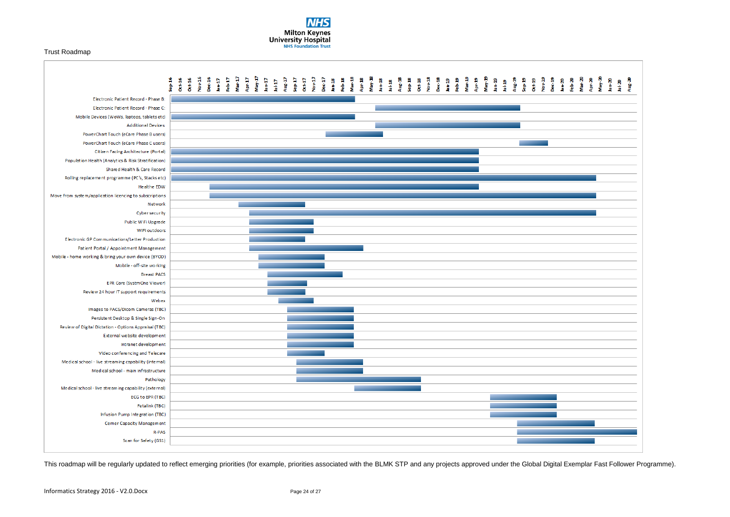#### Trust Roadmap





This roadmap will be regularly updated to reflect emerging priorities (for example, priorities associated with the BLMK STP and any projects approved under the Global Digital Exemplar Fast Follower Programme).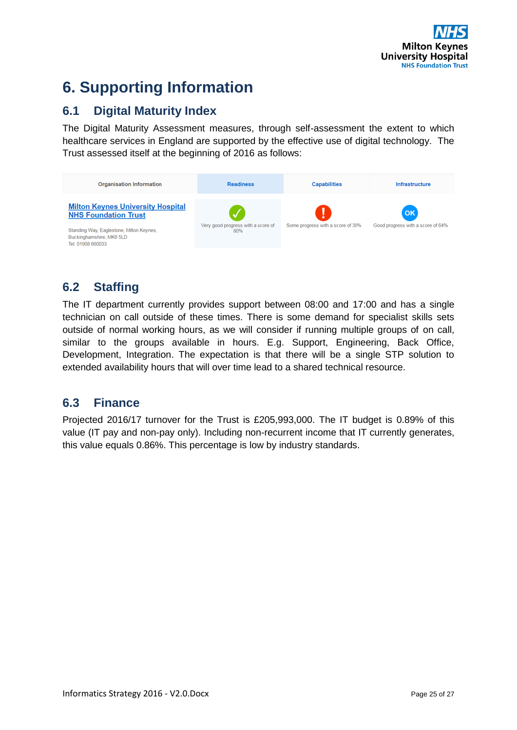

# <span id="page-24-0"></span>**6. Supporting Information**

## <span id="page-24-1"></span>**6.1 Digital Maturity Index**

The Digital Maturity Assessment measures, through self-assessment the extent to which healthcare services in England are supported by the effective use of digital technology. The Trust assessed itself at the beginning of 2016 as follows:



## <span id="page-24-2"></span>**6.2 Staffing**

The IT department currently provides support between 08:00 and 17:00 and has a single technician on call outside of these times. There is some demand for specialist skills sets outside of normal working hours, as we will consider if running multiple groups of on call, similar to the groups available in hours. E.g. Support, Engineering, Back Office, Development, Integration. The expectation is that there will be a single STP solution to extended availability hours that will over time lead to a shared technical resource.

## <span id="page-24-3"></span>**6.3 Finance**

Projected 2016/17 turnover for the Trust is £205,993,000. The IT budget is 0.89% of this value (IT pay and non-pay only). Including non-recurrent income that IT currently generates, this value equals 0.86%. This percentage is low by industry standards.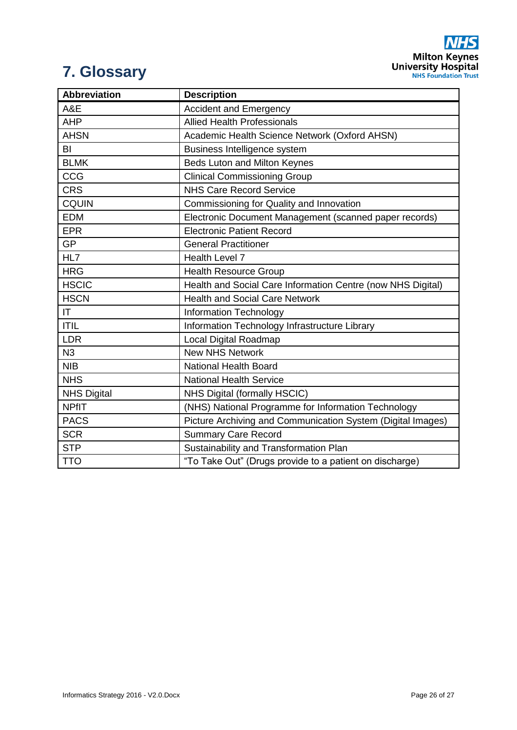**NHS Milton Keynes**<br>University Hospital<br>NHS Foundation Trust

# <span id="page-25-0"></span>**7. Glossary**

| <b>Abbreviation</b> | <b>Description</b>                                          |
|---------------------|-------------------------------------------------------------|
| A&E                 | <b>Accident and Emergency</b>                               |
| <b>AHP</b>          | <b>Allied Health Professionals</b>                          |
| <b>AHSN</b>         | Academic Health Science Network (Oxford AHSN)               |
| BI                  | Business Intelligence system                                |
| <b>BLMK</b>         | Beds Luton and Milton Keynes                                |
| CCG                 | <b>Clinical Commissioning Group</b>                         |
| <b>CRS</b>          | <b>NHS Care Record Service</b>                              |
| <b>CQUIN</b>        | Commissioning for Quality and Innovation                    |
| <b>EDM</b>          | Electronic Document Management (scanned paper records)      |
| <b>EPR</b>          | <b>Electronic Patient Record</b>                            |
| <b>GP</b>           | <b>General Practitioner</b>                                 |
| HL7                 | <b>Health Level 7</b>                                       |
| <b>HRG</b>          | <b>Health Resource Group</b>                                |
| <b>HSCIC</b>        | Health and Social Care Information Centre (now NHS Digital) |
| <b>HSCN</b>         | <b>Health and Social Care Network</b>                       |
| IT.                 | Information Technology                                      |
| <b>ITIL</b>         | Information Technology Infrastructure Library               |
| <b>LDR</b>          | <b>Local Digital Roadmap</b>                                |
| N3                  | <b>New NHS Network</b>                                      |
| <b>NIB</b>          | <b>National Health Board</b>                                |
| <b>NHS</b>          | <b>National Health Service</b>                              |
| <b>NHS Digital</b>  | NHS Digital (formally HSCIC)                                |
| <b>NPfIT</b>        | (NHS) National Programme for Information Technology         |
| <b>PACS</b>         | Picture Archiving and Communication System (Digital Images) |
| <b>SCR</b>          | <b>Summary Care Record</b>                                  |
| <b>STP</b>          | Sustainability and Transformation Plan                      |
| <b>TTO</b>          | "To Take Out" (Drugs provide to a patient on discharge)     |